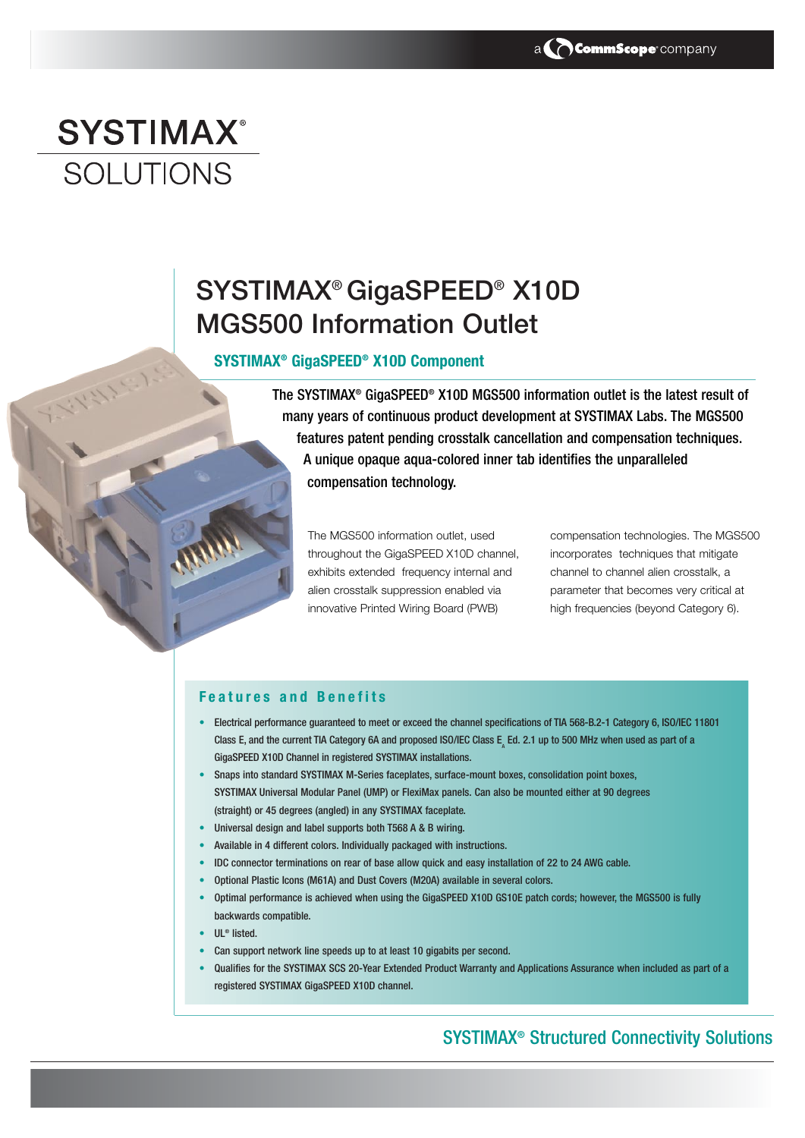# **SYSTIMAX® SOLUTIONS**

1117

## SYSTIMAX® GigaSPEED® X10D MGS500 Information Outlet

#### **SYSTIMAX® GigaSPEED® X10D Component**

The SYSTIMAX® GigaSPEED® X10D MGS500 information outlet is the latest result of many years of continuous product development at SYSTIMAX Labs. The MGS500 features patent pending crosstalk cancellation and compensation techniques. A unique opaque aqua-colored inner tab identifies the unparalleled compensation technology.

The MGS500 information outlet, used throughout the GigaSPEED X10D channel, exhibits extended frequency internal and alien crosstalk suppression enabled via innovative Printed Wiring Board (PWB)

compensation technologies. The MGS500 incorporates techniques that mitigate channel to channel alien crosstalk, a parameter that becomes very critical at high frequencies (beyond Category 6).

#### **Features and Benefits**

- Electrical performance guaranteed to meet or exceed the channel specifications of TIA 568-B.2-1 Category 6, ISO/IEC 11801 Class E, and the current TIA Category 6A and proposed ISO/IEC Class E, Ed. 2.1 up to 500 MHz when used as part of a GigaSPEED X10D Channel in registered SYSTIMAX installations.
- Snaps into standard SYSTIMAX M-Series faceplates, surface-mount boxes, consolidation point boxes, SYSTIMAX Universal Modular Panel (UMP) or FlexiMax panels. Can also be mounted either at 90 degrees (straight) or 45 degrees (angled) in any SYSTIMAX faceplate.
- Universal design and label supports both T568 A & B wiring.
- Available in 4 different colors. Individually packaged with instructions.
- IDC connector terminations on rear of base allow quick and easy installation of 22 to 24 AWG cable.
- Optional Plastic Icons (M61A) and Dust Covers (M20A) available in several colors.
- Optimal performance is achieved when using the GigaSPEED X10D GS10E patch cords; however, the MGS500 is fully backwards compatible.
- UL® listed.
- Can support network line speeds up to at least 10 gigabits per second.
- Qualifies for the SYSTIMAX SCS 20-Year Extended Product Warranty and Applications Assurance when included as part of a registered SYSTIMAX GigaSPEED X10D channel.

### SYSTIMAX® Structured Connectivity Solutions